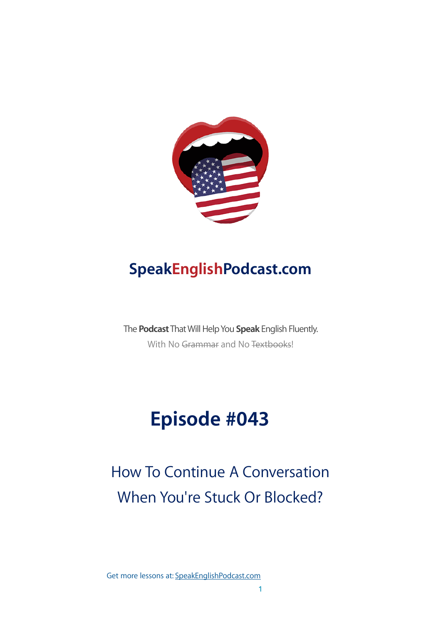

### **SpeakEnglishPodcast.com**

The **Podcast** That Will Help You **Speak** English Fluently. With No Grammar and No Textbooks!

# **Episode #043**

## How To Continue A Conversation When You're Stuck Or Blocked?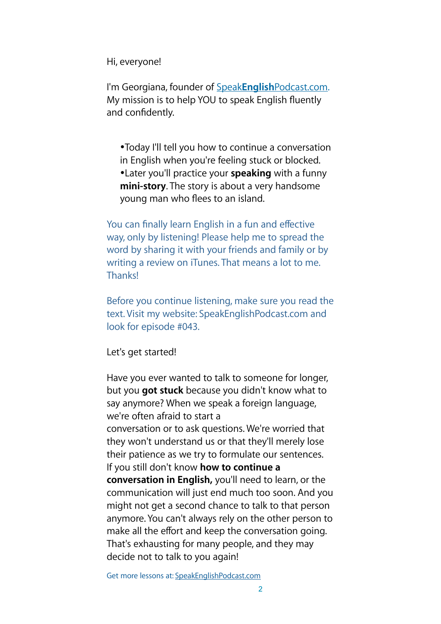Hi, everyone!

I'm Georgiana, founder of Speak**English**[Podcast.com](https://www.speakenglishpod.com/). My mission is to help YOU to speak English fluently and confidently.

•Today I'll tell you how to continue a conversation in English when you're feeling stuck or blocked. •Later you'll practice your **speaking** with a funny **mini-story**. The story is about a very handsome young man who flees to an island.

You can finally learn English in a fun and effective way, only by listening! Please help me to spread the word by sharing it with your friends and family or by writing a review on iTunes. That means a lot to me. Thanks!

Before you continue listening, make sure you read the text. Visit my website: SpeakEnglishPodcast.com and look for episode #043.

Let's get started!

Have you ever wanted to talk to someone for longer, but you **got stuck** because you didn't know what to say anymore? When we speak a foreign language, we're often afraid to start a conversation or to ask questions. We're worried that they won't understand us or that they'll merely lose their patience as we try to formulate our sentences. If you still don't know **how to continue a conversation in English,** you'll need to learn, or the communication will just end much too soon. And you might not get a second chance to talk to that person anymore. You can't always rely on the other person to make all the effort and keep the conversation going. That's exhausting for many people, and they may decide not to talk to you again!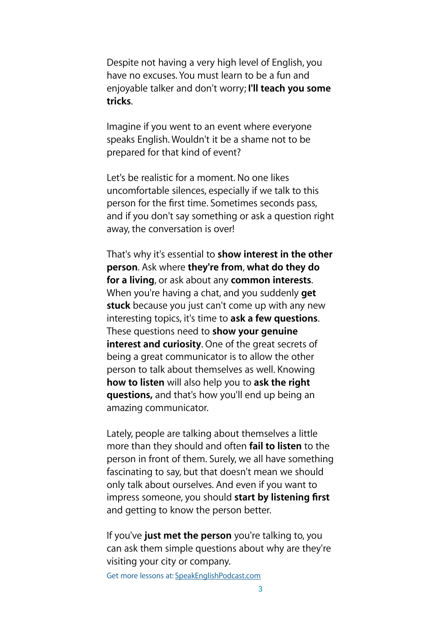Despite not having a very high level of English, you have no excuses. You must learn to be a fun and enjoyable talker and don't worry; **I'll teach you some tricks**.

Imagine if you went to an event where everyone speaks English. Wouldn't it be a shame not to be prepared for that kind of event?

Let's be realistic for a moment. No one likes uncomfortable silences, especially if we talk to this person for the first time. Sometimes seconds pass, and if you don't say something or ask a question right away, the conversation is over!

That's why it's essential to **show interest in the other person**. Ask where **they're from**, **what do they do for a living**, or ask about any **common interests**. When you're having a chat, and you suddenly **get stuck** because you just can't come up with any new interesting topics, it's time to **ask a few questions**. These questions need to **show your genuine interest and curiosity**. One of the great secrets of being a great communicator is to allow the other person to talk about themselves as well. Knowing **how to listen** will also help you to **ask the right questions,** and that's how you'll end up being an amazing communicator.

Lately, people are talking about themselves a little more than they should and often **fail to listen** to the person in front of them. Surely, we all have something fascinating to say, but that doesn't mean we should only talk about ourselves. And even if you want to impress someone, you should **start by listening first** and getting to know the person better.

If you've **just met the person** you're talking to, you can ask them simple questions about why are they're visiting your city or company.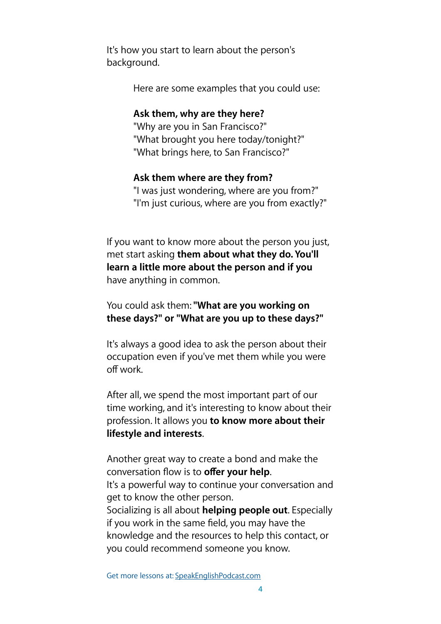It's how you start to learn about the person's background.

Here are some examples that you could use:

#### **Ask them, why are they here?**

"Why are you in San Francisco?" "What brought you here today/tonight?" "What brings here, to San Francisco?"

#### **Ask them where are they from?**

"I was just wondering, where are you from?" "I'm just curious, where are you from exactly?"

If you want to know more about the person you just, met start asking **them about what they do. You'll learn a little more about the person and if you**  have anything in common.

#### You could ask them: **"What are you working on these days?" or "What are you up to these days?"**

It's always a good idea to ask the person about their occupation even if you've met them while you were off work.

After all, we spend the most important part of our time working, and it's interesting to know about their profession. It allows you **to know more about their lifestyle and interests**.

Another great way to create a bond and make the conversation flow is to **offer your help**. It's a powerful way to continue your conversation and get to know the other person. Socializing is all about **helping people out**. Especially if you work in the same field, you may have the knowledge and the resources to help this contact, or you could recommend someone you know.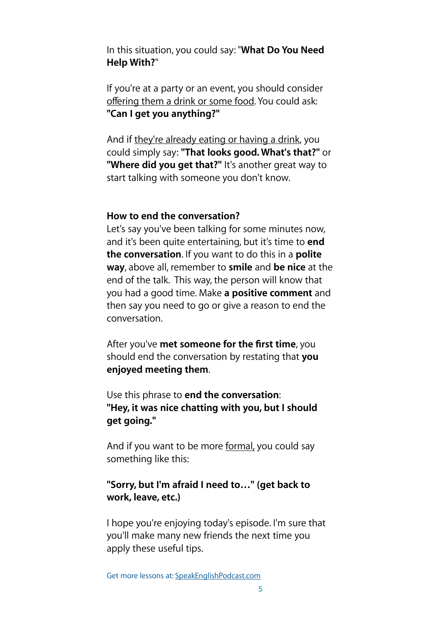In this situation, you could say: "**What Do You Need Help With?**"

If you're at a party or an event, you should consider offering them a drink or some food. You could ask: **"Can I get you anything?"** 

And if they're already eating or having a drink, you could simply say: **"That looks good. What's that?"** or **"Where did you get that?"** It's another great way to start talking with someone you don't know.

#### **How to end the conversation?**

Let's say you've been talking for some minutes now, and it's been quite entertaining, but it's time to **end the conversation**. If you want to do this in a **polite way**, above all, remember to **smile** and **be nice** at the end of the talk. This way, the person will know that you had a good time. Make **a positive comment** and then say you need to go or give a reason to end the conversation.

After you've **met someone for the first time**, you should end the conversation by restating that **you enjoyed meeting them**.

Use this phrase to **end the conversation**: **"Hey, it was nice chatting with you, but I should get going."** 

And if you want to be more formal, you could say something like this:

#### **"Sorry, but I'm afraid I need to…" (get back to work, leave, etc.)**

I hope you're enjoying today's episode. I'm sure that you'll make many new friends the next time you apply these useful tips.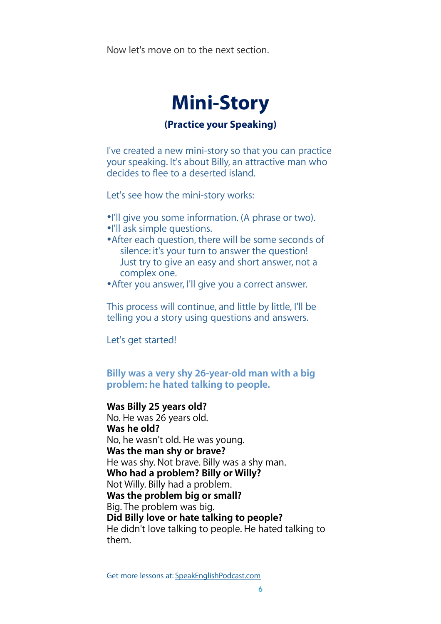Now let's move on to the next section.



#### **(Practice your Speaking)**

I've created a new mini-story so that you can practice your speaking. It's about Billy, an attractive man who decides to flee to a deserted island.

Let's see how the mini-story works:

- •I'll give you some information. (A phrase or two).
- •I'll ask simple questions.
- •After each question, there will be some seconds of silence: it's your turn to answer the question! Just try to give an easy and short answer, not a complex one.
- •After you answer, I'll give you a correct answer.

This process will continue, and little by little, I'll be telling you a story using questions and answers.

Let's get started!

#### **Billy was a very shy 26-year-old man with a big problem: he hated talking to people.**

#### **Was Billy 25 years old?**

No. He was 26 years old. **Was he old?**  No, he wasn't old. He was young. **Was the man shy or brave?**  He was shy. Not brave. Billy was a shy man. **Who had a problem? Billy or Willy?**  Not Willy. Billy had a problem. **Was the problem big or small?**  Big. The problem was big. **Did Billy love or hate talking to people?**  He didn't love talking to people. He hated talking to them.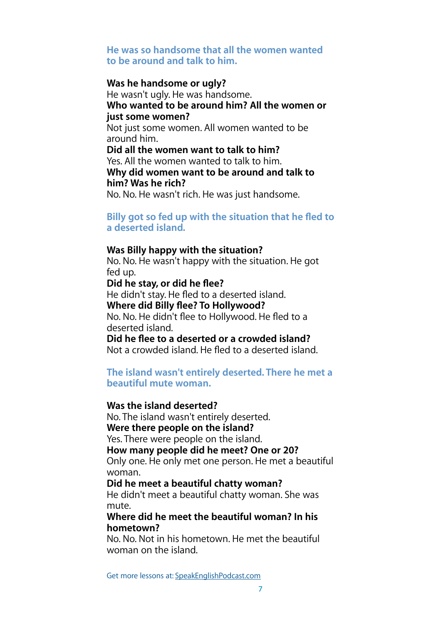#### **He was so handsome that all the women wanted to be around and talk to him.**

#### **Was he handsome or ugly?**

He wasn't ugly. He was handsome. **Who wanted to be around him? All the women or just some women?**  Not just some women. All women wanted to be around him. **Did all the women want to talk to him?**  Yes. All the women wanted to talk to him. **Why did women want to be around and talk to him? Was he rich?**  No. No. He wasn't rich. He was just handsome.

**Billy got so fed up with the situation that he fled to a deserted island.** 

#### **Was Billy happy with the situation?**

No. No. He wasn't happy with the situation. He got fed up.

**Did he stay, or did he flee?** 

He didn't stay. He fled to a deserted island.

**Where did Billy flee? To Hollywood?** 

No. No. He didn't flee to Hollywood. He fled to a deserted island.

**Did he flee to a deserted or a crowded island?**  Not a crowded island. He fled to a deserted island.

**The island wasn't entirely deserted. There he met a beautiful mute woman.** 

#### **Was the island deserted?**

No. The island wasn't entirely deserted. **Were there people on the island?** 

Yes. There were people on the island.

**How many people did he meet? One or 20?** 

Only one. He only met one person. He met a beautiful woman.

**Did he meet a beautiful chatty woman?** 

He didn't meet a beautiful chatty woman. She was mute.

#### **Where did he meet the beautiful woman? In his hometown?**

No. No. Not in his hometown. He met the beautiful woman on the island.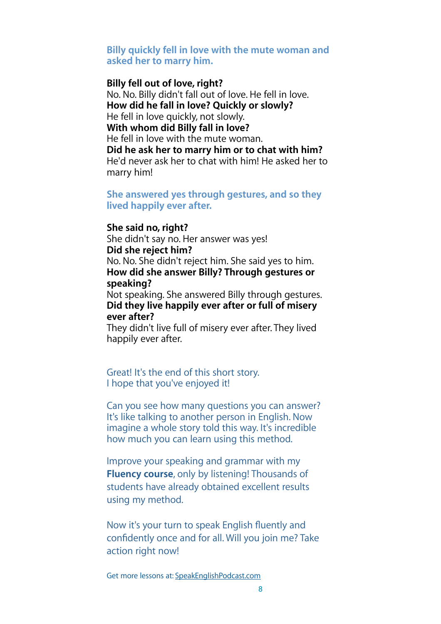#### **Billy quickly fell in love with the mute woman and asked her to marry him.**

#### **Billy fell out of love, right?**

No. No. Billy didn't fall out of love. He fell in love. **How did he fall in love? Quickly or slowly?**  He fell in love quickly, not slowly. **With whom did Billy fall in love?**  He fell in love with the mute woman. **Did he ask her to marry him or to chat with him?**  He'd never ask her to chat with him! He asked her to

marry him!

#### **She answered yes through gestures, and so they lived happily ever after.**

#### **She said no, right?**

She didn't say no. Her answer was yes! **Did she reject him?**  No. No. She didn't reject him. She said yes to him. **How did she answer Billy? Through gestures or speaking?** 

Not speaking. She answered Billy through gestures. **Did they live happily ever after or full of misery ever after?** 

They didn't live full of misery ever after. They lived happily ever after.

Great! It's the end of this short story. I hope that you've enjoyed it!

Can you see how many questions you can answer? It's like talking to another person in English. Now imagine a whole story told this way. It's incredible how much you can learn using this method.

Improve your speaking and grammar with my **Fluency course**, only by listening! Thousands of students have already obtained excellent results using my method.

Now it's your turn to speak English fluently and confidently once and for all. Will you join me? Take action right now!